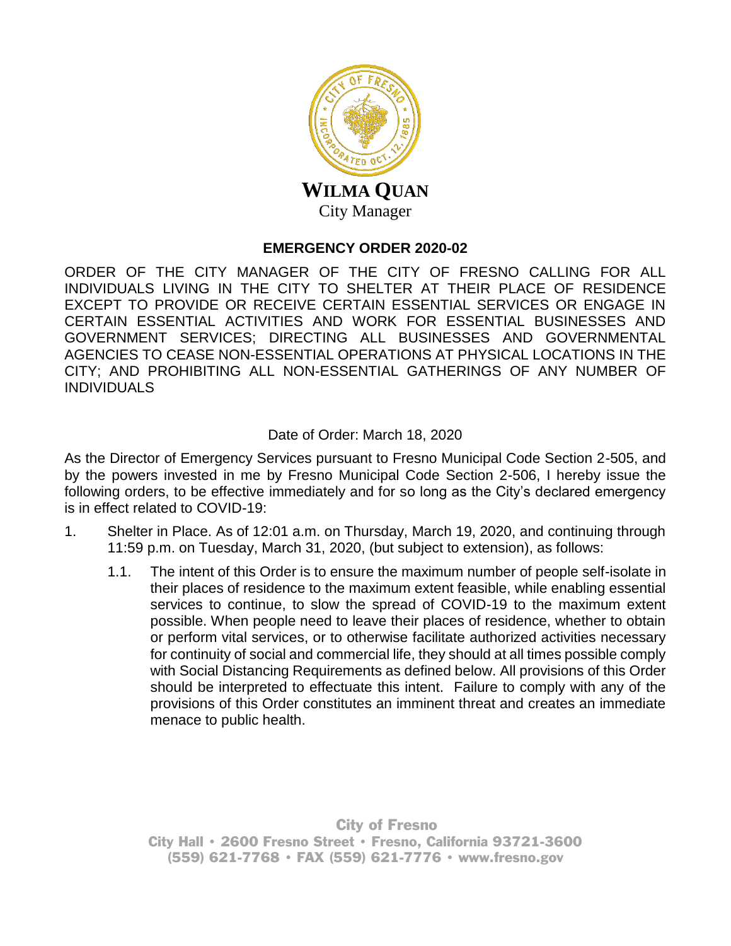

## **EMERGENCY ORDER 2020-02**

ORDER OF THE CITY MANAGER OF THE CITY OF FRESNO CALLING FOR ALL INDIVIDUALS LIVING IN THE CITY TO SHELTER AT THEIR PLACE OF RESIDENCE EXCEPT TO PROVIDE OR RECEIVE CERTAIN ESSENTIAL SERVICES OR ENGAGE IN CERTAIN ESSENTIAL ACTIVITIES AND WORK FOR ESSENTIAL BUSINESSES AND GOVERNMENT SERVICES; DIRECTING ALL BUSINESSES AND GOVERNMENTAL AGENCIES TO CEASE NON-ESSENTIAL OPERATIONS AT PHYSICAL LOCATIONS IN THE CITY; AND PROHIBITING ALL NON-ESSENTIAL GATHERINGS OF ANY NUMBER OF INDIVIDUALS

## Date of Order: March 18, 2020

As the Director of Emergency Services pursuant to Fresno Municipal Code Section 2-505, and by the powers invested in me by Fresno Municipal Code Section 2-506, I hereby issue the following orders, to be effective immediately and for so long as the City's declared emergency is in effect related to COVID-19:

- 1. Shelter in Place. As of 12:01 a.m. on Thursday, March 19, 2020, and continuing through 11:59 p.m. on Tuesday, March 31, 2020, (but subject to extension), as follows:
	- 1.1. The intent of this Order is to ensure the maximum number of people self-isolate in their places of residence to the maximum extent feasible, while enabling essential services to continue, to slow the spread of COVID-19 to the maximum extent possible. When people need to leave their places of residence, whether to obtain or perform vital services, or to otherwise facilitate authorized activities necessary for continuity of social and commercial life, they should at all times possible comply with Social Distancing Requirements as defined below. All provisions of this Order should be interpreted to effectuate this intent. Failure to comply with any of the provisions of this Order constitutes an imminent threat and creates an immediate menace to public health.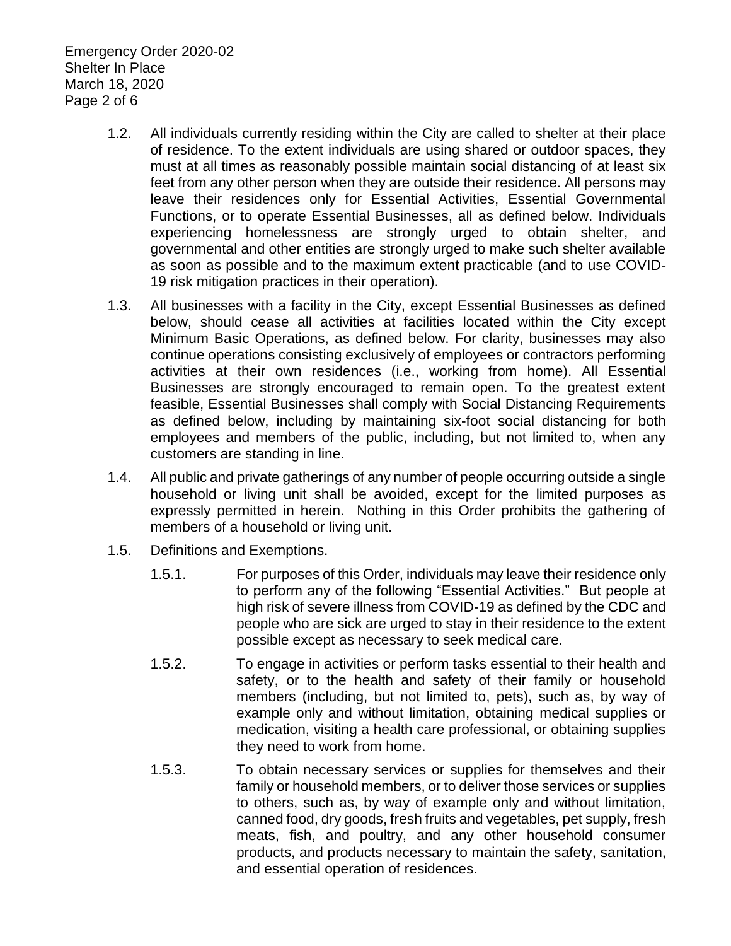Emergency Order 2020-02 Shelter In Place March 18, 2020 Page 2 of 6

- 1.2. All individuals currently residing within the City are called to shelter at their place of residence. To the extent individuals are using shared or outdoor spaces, they must at all times as reasonably possible maintain social distancing of at least six feet from any other person when they are outside their residence. All persons may leave their residences only for Essential Activities, Essential Governmental Functions, or to operate Essential Businesses, all as defined below. Individuals experiencing homelessness are strongly urged to obtain shelter, and governmental and other entities are strongly urged to make such shelter available as soon as possible and to the maximum extent practicable (and to use COVID-19 risk mitigation practices in their operation).
- 1.3. All businesses with a facility in the City, except Essential Businesses as defined below, should cease all activities at facilities located within the City except Minimum Basic Operations, as defined below. For clarity, businesses may also continue operations consisting exclusively of employees or contractors performing activities at their own residences (i.e., working from home). All Essential Businesses are strongly encouraged to remain open. To the greatest extent feasible, Essential Businesses shall comply with Social Distancing Requirements as defined below, including by maintaining six-foot social distancing for both employees and members of the public, including, but not limited to, when any customers are standing in line.
- 1.4. All public and private gatherings of any number of people occurring outside a single household or living unit shall be avoided, except for the limited purposes as expressly permitted in herein. Nothing in this Order prohibits the gathering of members of a household or living unit.
- 1.5. Definitions and Exemptions.
	- 1.5.1. For purposes of this Order, individuals may leave their residence only to perform any of the following "Essential Activities." But people at high risk of severe illness from COVID-19 as defined by the CDC and people who are sick are urged to stay in their residence to the extent possible except as necessary to seek medical care.
	- 1.5.2. To engage in activities or perform tasks essential to their health and safety, or to the health and safety of their family or household members (including, but not limited to, pets), such as, by way of example only and without limitation, obtaining medical supplies or medication, visiting a health care professional, or obtaining supplies they need to work from home.
	- 1.5.3. To obtain necessary services or supplies for themselves and their family or household members, or to deliver those services or supplies to others, such as, by way of example only and without limitation, canned food, dry goods, fresh fruits and vegetables, pet supply, fresh meats, fish, and poultry, and any other household consumer products, and products necessary to maintain the safety, sanitation, and essential operation of residences.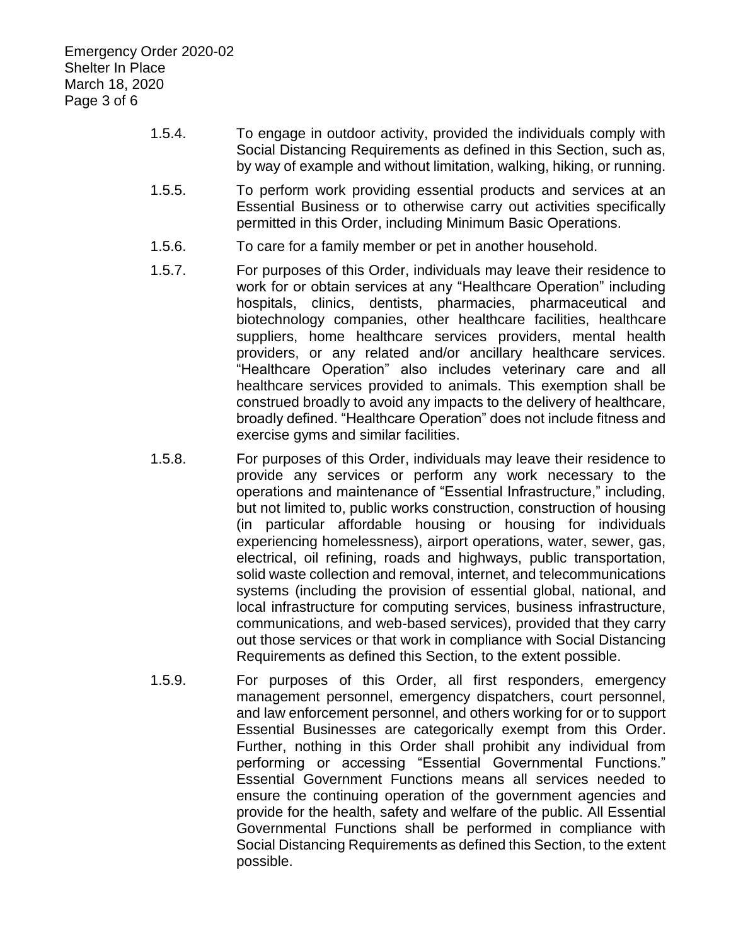- 1.5.4. To engage in outdoor activity, provided the individuals comply with Social Distancing Requirements as defined in this Section, such as, by way of example and without limitation, walking, hiking, or running.
- 1.5.5. To perform work providing essential products and services at an Essential Business or to otherwise carry out activities specifically permitted in this Order, including Minimum Basic Operations.
- 1.5.6. To care for a family member or pet in another household.
- 1.5.7. For purposes of this Order, individuals may leave their residence to work for or obtain services at any "Healthcare Operation" including hospitals, clinics, dentists, pharmacies, pharmaceutical and biotechnology companies, other healthcare facilities, healthcare suppliers, home healthcare services providers, mental health providers, or any related and/or ancillary healthcare services. "Healthcare Operation" also includes veterinary care and all healthcare services provided to animals. This exemption shall be construed broadly to avoid any impacts to the delivery of healthcare, broadly defined. "Healthcare Operation" does not include fitness and exercise gyms and similar facilities.
- 1.5.8. For purposes of this Order, individuals may leave their residence to provide any services or perform any work necessary to the operations and maintenance of "Essential Infrastructure," including, but not limited to, public works construction, construction of housing (in particular affordable housing or housing for individuals experiencing homelessness), airport operations, water, sewer, gas, electrical, oil refining, roads and highways, public transportation, solid waste collection and removal, internet, and telecommunications systems (including the provision of essential global, national, and local infrastructure for computing services, business infrastructure, communications, and web-based services), provided that they carry out those services or that work in compliance with Social Distancing Requirements as defined this Section, to the extent possible.
- 1.5.9. For purposes of this Order, all first responders, emergency management personnel, emergency dispatchers, court personnel, and law enforcement personnel, and others working for or to support Essential Businesses are categorically exempt from this Order. Further, nothing in this Order shall prohibit any individual from performing or accessing "Essential Governmental Functions." Essential Government Functions means all services needed to ensure the continuing operation of the government agencies and provide for the health, safety and welfare of the public. All Essential Governmental Functions shall be performed in compliance with Social Distancing Requirements as defined this Section, to the extent possible.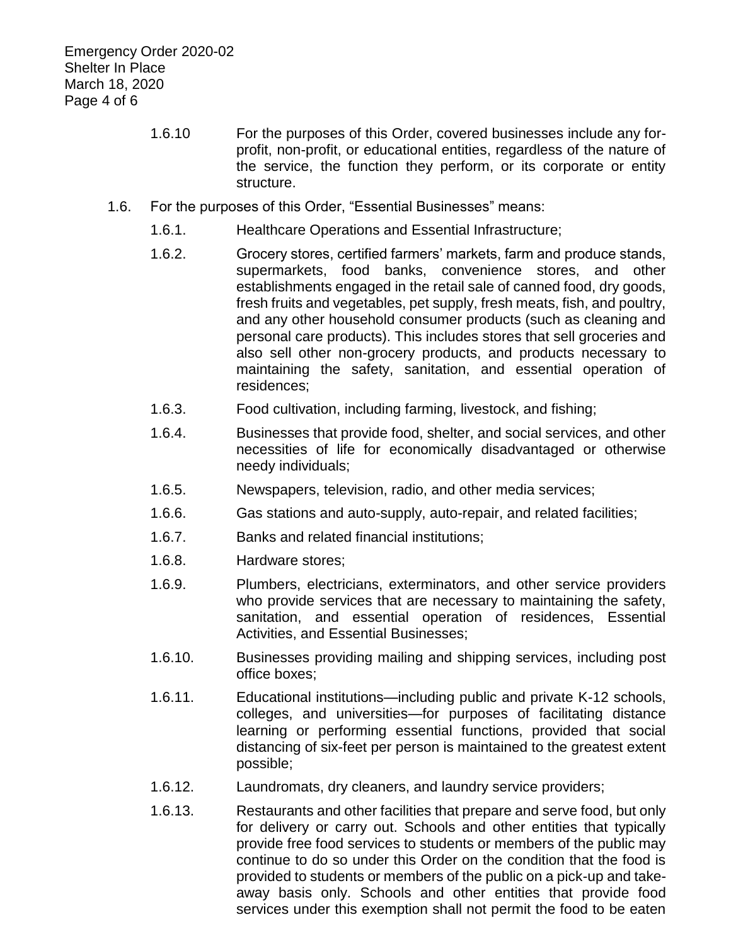- 1.6.10 For the purposes of this Order, covered businesses include any forprofit, non-profit, or educational entities, regardless of the nature of the service, the function they perform, or its corporate or entity structure.
- 1.6. For the purposes of this Order, "Essential Businesses" means:
	- 1.6.1. Healthcare Operations and Essential Infrastructure;
	- 1.6.2. Grocery stores, certified farmers' markets, farm and produce stands, supermarkets, food banks, convenience stores, and other establishments engaged in the retail sale of canned food, dry goods, fresh fruits and vegetables, pet supply, fresh meats, fish, and poultry, and any other household consumer products (such as cleaning and personal care products). This includes stores that sell groceries and also sell other non-grocery products, and products necessary to maintaining the safety, sanitation, and essential operation of residences;
	- 1.6.3. Food cultivation, including farming, livestock, and fishing;
	- 1.6.4. Businesses that provide food, shelter, and social services, and other necessities of life for economically disadvantaged or otherwise needy individuals;
	- 1.6.5. Newspapers, television, radio, and other media services;
	- 1.6.6. Gas stations and auto-supply, auto-repair, and related facilities;
	- 1.6.7. Banks and related financial institutions;
	- 1.6.8. Hardware stores;
	- 1.6.9. Plumbers, electricians, exterminators, and other service providers who provide services that are necessary to maintaining the safety, sanitation, and essential operation of residences, Essential Activities, and Essential Businesses;
	- 1.6.10. Businesses providing mailing and shipping services, including post office boxes;
	- 1.6.11. Educational institutions—including public and private K-12 schools, colleges, and universities—for purposes of facilitating distance learning or performing essential functions, provided that social distancing of six-feet per person is maintained to the greatest extent possible;
	- 1.6.12. Laundromats, dry cleaners, and laundry service providers;
	- 1.6.13. Restaurants and other facilities that prepare and serve food, but only for delivery or carry out. Schools and other entities that typically provide free food services to students or members of the public may continue to do so under this Order on the condition that the food is provided to students or members of the public on a pick-up and takeaway basis only. Schools and other entities that provide food services under this exemption shall not permit the food to be eaten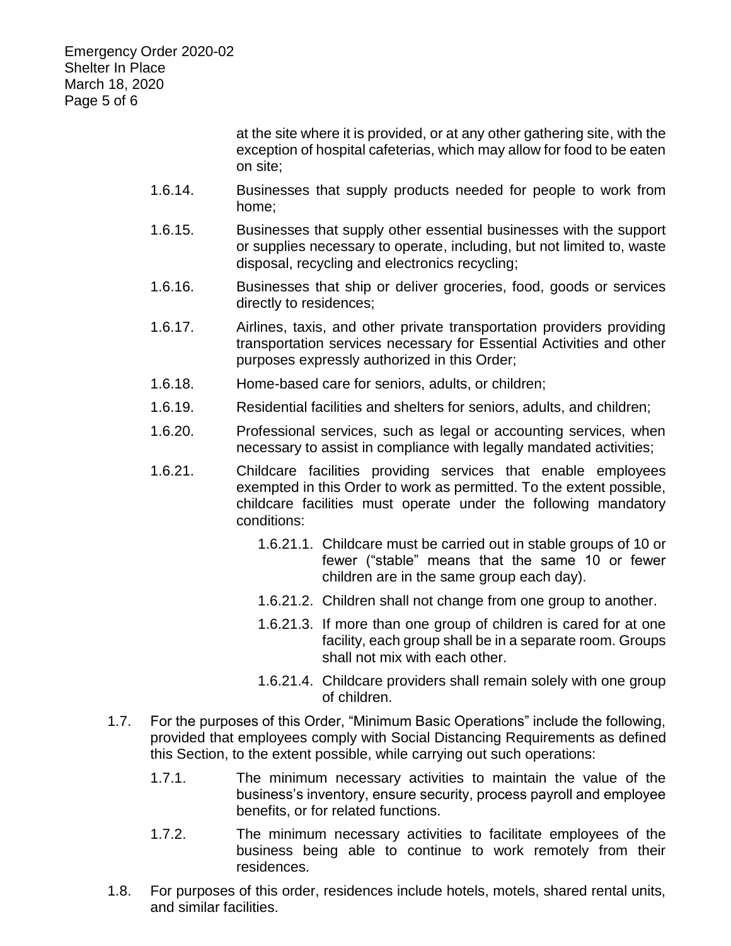Emergency Order 2020-02 Shelter In Place March 18, 2020 Page 5 of 6

> at the site where it is provided, or at any other gathering site, with the exception of hospital cafeterias, which may allow for food to be eaten on site;

- 1.6.14. Businesses that supply products needed for people to work from home;
- 1.6.15. Businesses that supply other essential businesses with the support or supplies necessary to operate, including, but not limited to, waste disposal, recycling and electronics recycling;
- 1.6.16. Businesses that ship or deliver groceries, food, goods or services directly to residences;
- 1.6.17. Airlines, taxis, and other private transportation providers providing transportation services necessary for Essential Activities and other purposes expressly authorized in this Order;
- 1.6.18. Home-based care for seniors, adults, or children;
- 1.6.19. Residential facilities and shelters for seniors, adults, and children;
- 1.6.20. Professional services, such as legal or accounting services, when necessary to assist in compliance with legally mandated activities;
- 1.6.21. Childcare facilities providing services that enable employees exempted in this Order to work as permitted. To the extent possible, childcare facilities must operate under the following mandatory conditions:
	- 1.6.21.1. Childcare must be carried out in stable groups of 10 or fewer ("stable" means that the same 10 or fewer children are in the same group each day).
	- 1.6.21.2. Children shall not change from one group to another.
	- 1.6.21.3. If more than one group of children is cared for at one facility, each group shall be in a separate room. Groups shall not mix with each other.
	- 1.6.21.4. Childcare providers shall remain solely with one group of children.
- 1.7. For the purposes of this Order, "Minimum Basic Operations" include the following, provided that employees comply with Social Distancing Requirements as defined this Section, to the extent possible, while carrying out such operations:
	- 1.7.1. The minimum necessary activities to maintain the value of the business's inventory, ensure security, process payroll and employee benefits, or for related functions.
	- 1.7.2. The minimum necessary activities to facilitate employees of the business being able to continue to work remotely from their residences.
- 1.8. For purposes of this order, residences include hotels, motels, shared rental units, and similar facilities.